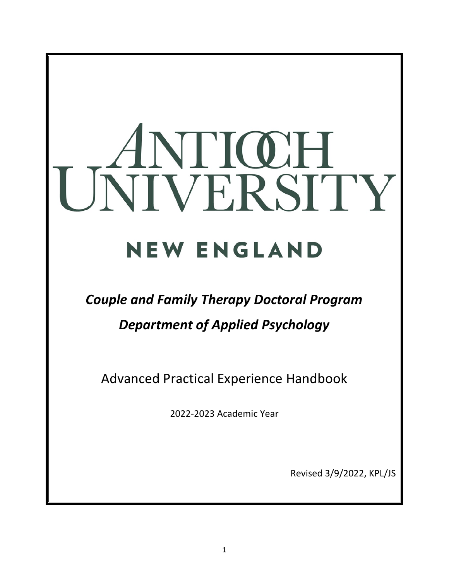# UNIVERSITY **NEW ENGLAND**

# *Couple and Family Therapy Doctoral Program*

# *Department of Applied Psychology*

Advanced Practical Experience Handbook

2022-2023 Academic Year

Revised 3/9/2022, KPL/JS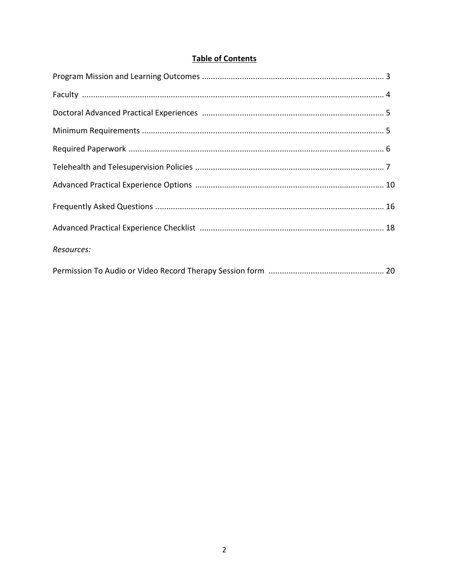# **Table of Contents**

| Resources: |  |
|------------|--|
|            |  |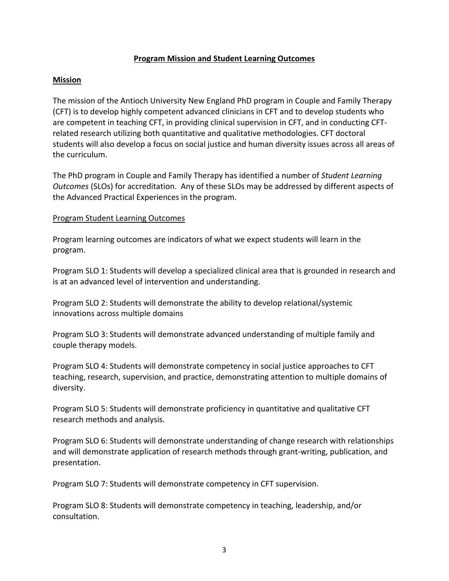#### **Program Mission and Student Learning Outcomes**

#### **Mission**

The mission of the Antioch University New England PhD program in Couple and Family Therapy (CFT) is to develop highly competent advanced clinicians in CFT and to develop students who are competent in teaching CFT, in providing clinical supervision in CFT, and in conducting CFTrelated research utilizing both quantitative and qualitative methodologies. CFT doctoral students will also develop a focus on social justice and human diversity issues across all areas of the curriculum.

The PhD program in Couple and Family Therapy has identified a number of *Student Learning Outcomes* (SLOs) for accreditation. Any of these SLOs may be addressed by different aspects of the Advanced Practical Experiences in the program.

#### Program Student Learning Outcomes

Program learning outcomes are indicators of what we expect students will learn in the program.

Program SLO 1: Students will develop a specialized clinical area that is grounded in research and is at an advanced level of intervention and understanding.

Program SLO 2: Students will demonstrate the ability to develop relational/systemic innovations across multiple domains

Program SLO 3: Students will demonstrate advanced understanding of multiple family and couple therapy models.

Program SLO 4: Students will demonstrate competency in social justice approaches to CFT teaching, research, supervision, and practice, demonstrating attention to multiple domains of diversity.

Program SLO 5: Students will demonstrate proficiency in quantitative and qualitative CFT research methods and analysis.

Program SLO 6: Students will demonstrate understanding of change research with relationships and will demonstrate application of research methods through grant-writing, publication, and presentation.

Program SLO 7: Students will demonstrate competency in CFT supervision.

Program SLO 8: Students will demonstrate competency in teaching, leadership, and/or consultation.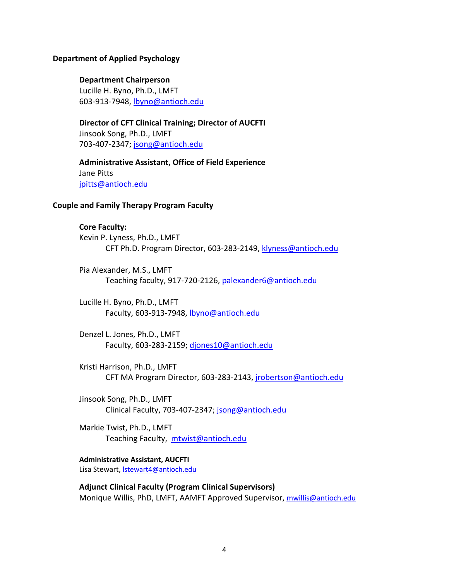#### **Department of Applied Psychology**

#### **Department Chairperson**

Lucille H. Byno, Ph.D., LMFT 603-913-7948, lbyno@antioch.edu

**Director of CFT Clinical Training; Director of AUCFTI** Jinsook Song, Ph.D., LMFT 703-407-2347; jsong@antioch.edu

**Administrative Assistant, Office of Field Experience** Jane Pitts jpitts@antioch.edu

#### **Couple and Family Therapy Program Faculty**

#### **Core Faculty:**

Kevin P. Lyness, Ph.D., LMFT CFT Ph.D. Program Director, 603-283-2149, klyness@antioch.edu

Pia Alexander, M.S., LMFT Teaching faculty, 917-720-2126, palexander6@antioch.edu

Lucille H. Byno, Ph.D., LMFT Faculty, 603-913-7948, lbyno@antioch.edu

Denzel L. Jones, Ph.D., LMFT Faculty, 603-283-2159; djones10@antioch.edu

Kristi Harrison, Ph.D., LMFT CFT MA Program Director, 603-283-2143, jrobertson@antioch.edu

Jinsook Song, Ph.D., LMFT Clinical Faculty, 703-407-2347; jsong@antioch.edu

Markie Twist, Ph.D., LMFT Teaching Faculty, mtwist@antioch.edu

**Administrative Assistant, AUCFTI** Lisa Stewart, **Istewart4@antioch.edu** 

**Adjunct Clinical Faculty (Program Clinical Supervisors)** Monique Willis, PhD, LMFT, AAMFT Approved Supervisor, mwillis@antioch.edu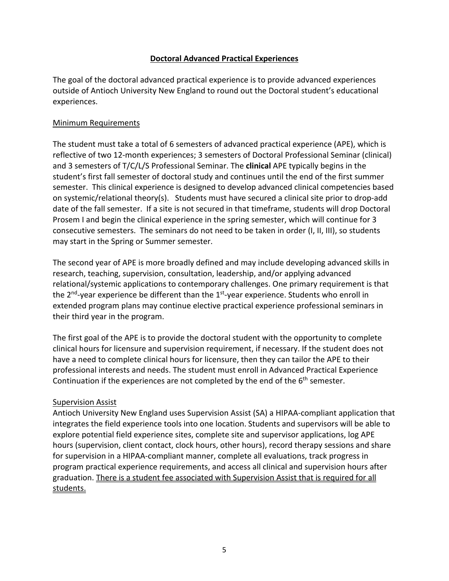## **Doctoral Advanced Practical Experiences**

The goal of the doctoral advanced practical experience is to provide advanced experiences outside of Antioch University New England to round out the Doctoral student's educational experiences.

#### Minimum Requirements

The student must take a total of 6 semesters of advanced practical experience (APE), which is reflective of two 12-month experiences; 3 semesters of Doctoral Professional Seminar (clinical) and 3 semesters of T/C/L/S Professional Seminar. The **clinical** APE typically begins in the student's first fall semester of doctoral study and continues until the end of the first summer semester. This clinical experience is designed to develop advanced clinical competencies based on systemic/relational theory(s). Students must have secured a clinical site prior to drop-add date of the fall semester. If a site is not secured in that timeframe, students will drop Doctoral Prosem I and begin the clinical experience in the spring semester, which will continue for 3 consecutive semesters. The seminars do not need to be taken in order (I, II, III), so students may start in the Spring or Summer semester.

The second year of APE is more broadly defined and may include developing advanced skills in research, teaching, supervision, consultation, leadership, and/or applying advanced relational/systemic applications to contemporary challenges. One primary requirement is that the  $2^{nd}$ -year experience be different than the  $1^{st}$ -year experience. Students who enroll in extended program plans may continue elective practical experience professional seminars in their third year in the program.

The first goal of the APE is to provide the doctoral student with the opportunity to complete clinical hours for licensure and supervision requirement, if necessary. If the student does not have a need to complete clinical hours for licensure, then they can tailor the APE to their professional interests and needs. The student must enroll in Advanced Practical Experience Continuation if the experiences are not completed by the end of the 6<sup>th</sup> semester.

## Supervision Assist

Antioch University New England uses Supervision Assist (SA) a HIPAA-compliant application that integrates the field experience tools into one location. Students and supervisors will be able to explore potential field experience sites, complete site and supervisor applications, log APE hours (supervision, client contact, clock hours, other hours), record therapy sessions and share for supervision in a HIPAA-compliant manner, complete all evaluations, track progress in program practical experience requirements, and access all clinical and supervision hours after graduation. There is a student fee associated with Supervision Assist that is required for all students.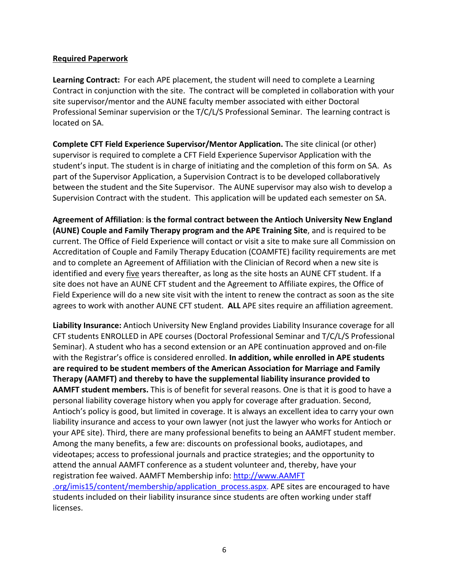#### **Required Paperwork**

**Learning Contract:** For each APE placement, the student will need to complete a Learning Contract in conjunction with the site. The contract will be completed in collaboration with your site supervisor/mentor and the AUNE faculty member associated with either Doctoral Professional Seminar supervision or the T/C/L/S Professional Seminar. The learning contract is located on SA.

**Complete CFT Field Experience Supervisor/Mentor Application.** The site clinical (or other) supervisor is required to complete a CFT Field Experience Supervisor Application with the student's input. The student is in charge of initiating and the completion of this form on SA. As part of the Supervisor Application, a Supervision Contract is to be developed collaboratively between the student and the Site Supervisor. The AUNE supervisor may also wish to develop a Supervision Contract with the student. This application will be updated each semester on SA.

**Agreement of Affiliation**: **is the formal contract between the Antioch University New England (AUNE) Couple and Family Therapy program and the APE Training Site**, and is required to be current. The Office of Field Experience will contact or visit a site to make sure all Commission on Accreditation of Couple and Family Therapy Education (COAMFTE) facility requirements are met and to complete an Agreement of Affiliation with the Clinician of Record when a new site is identified and every five years thereafter, as long as the site hosts an AUNE CFT student. If a site does not have an AUNE CFT student and the Agreement to Affiliate expires, the Office of Field Experience will do a new site visit with the intent to renew the contract as soon as the site agrees to work with another AUNE CFT student. **ALL** APE sites require an affiliation agreement.

**Liability Insurance:** Antioch University New England provides Liability Insurance coverage for all CFT students ENROLLED in APE courses (Doctoral Professional Seminar and T/C/L/S Professional Seminar). A student who has a second extension or an APE continuation approved and on-file with the Registrar's office is considered enrolled. **In addition, while enrolled in APE students are required to be student members of the American Association for Marriage and Family Therapy (AAMFT) and thereby to have the supplemental liability insurance provided to AAMFT student members.** This is of benefit for several reasons. One is that it is good to have a personal liability coverage history when you apply for coverage after graduation. Second, Antioch's policy is good, but limited in coverage. It is always an excellent idea to carry your own liability insurance and access to your own lawyer (not just the lawyer who works for Antioch or your APE site). Third, there are many professional benefits to being an AAMFT student member. Among the many benefits, a few are: discounts on professional books, audiotapes, and videotapes; access to professional journals and practice strategies; and the opportunity to attend the annual AAMFT conference as a student volunteer and, thereby, have your registration fee waived. AAMFT Membership info: http://www.AAMFT .org/imis15/content/membership/application\_process.aspx. APE sites are encouraged to have students included on their liability insurance since students are often working under staff licenses.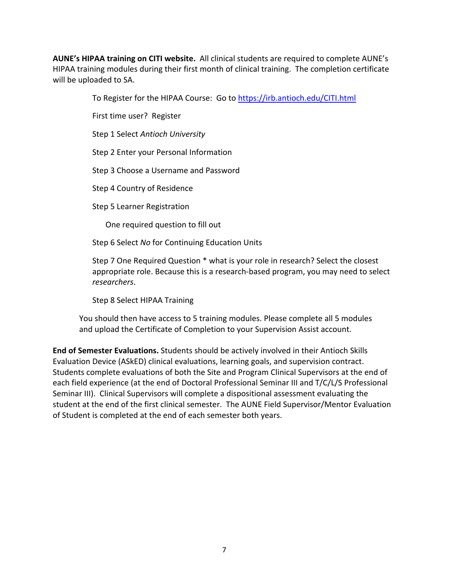**AUNE's HIPAA training on CITI website.** All clinical students are required to complete AUNE's HIPAA training modules during their first month of clinical training. The completion certificate will be uploaded to SA.

To Register for the HIPAA Course: Go to https://irb.antioch.edu/CITI.html

First time user? Register

Step 1 Select *Antioch University*

Step 2 Enter your Personal Information

Step 3 Choose a Username and Password

Step 4 Country of Residence

Step 5 Learner Registration

One required question to fill out

Step 6 Select *No* for Continuing Education Units

Step 7 One Required Question \* what is your role in research? Select the closest appropriate role. Because this is a research-based program, you may need to select *researchers*.

Step 8 Select HIPAA Training

You should then have access to 5 training modules. Please complete all 5 modules and upload the Certificate of Completion to your Supervision Assist account.

**End of Semester Evaluations.** Students should be actively involved in their Antioch Skills Evaluation Device (ASkED) clinical evaluations, learning goals, and supervision contract. Students complete evaluations of both the Site and Program Clinical Supervisors at the end of each field experience (at the end of Doctoral Professional Seminar III and T/C/L/S Professional Seminar III). Clinical Supervisors will complete a dispositional assessment evaluating the student at the end of the first clinical semester. The AUNE Field Supervisor/Mentor Evaluation of Student is completed at the end of each semester both years.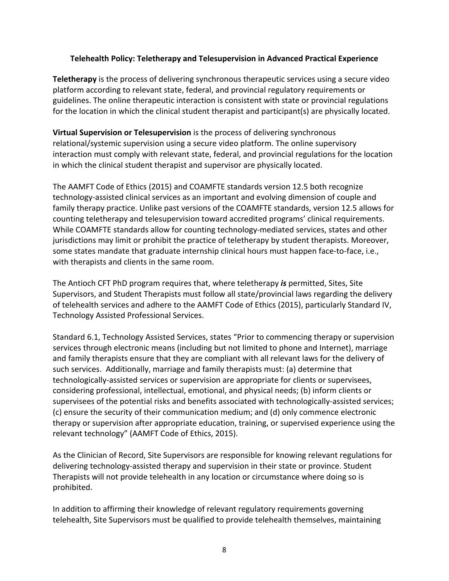#### **Telehealth Policy: Teletherapy and Telesupervision in Advanced Practical Experience**

**Teletherapy** is the process of delivering synchronous therapeutic services using a secure video platform according to relevant state, federal, and provincial regulatory requirements or guidelines. The online therapeutic interaction is consistent with state or provincial regulations for the location in which the clinical student therapist and participant(s) are physically located.

**Virtual Supervision or Telesupervision** is the process of delivering synchronous relational/systemic supervision using a secure video platform. The online supervisory interaction must comply with relevant state, federal, and provincial regulations for the location in which the clinical student therapist and supervisor are physically located.

The AAMFT Code of Ethics (2015) and COAMFTE standards version 12.5 both recognize technology-assisted clinical services as an important and evolving dimension of couple and family therapy practice. Unlike past versions of the COAMFTE standards, version 12.5 allows for counting teletherapy and telesupervision toward accredited programs' clinical requirements. While COAMFTE standards allow for counting technology-mediated services, states and other jurisdictions may limit or prohibit the practice of teletherapy by student therapists. Moreover, some states mandate that graduate internship clinical hours must happen face-to-face, i.e., with therapists and clients in the same room.

The Antioch CFT PhD program requires that, where teletherapy *is* permitted, Sites, Site Supervisors, and Student Therapists must follow all state/provincial laws regarding the delivery of telehealth services and adhere to the AAMFT Code of Ethics (2015), particularly Standard IV, Technology Assisted Professional Services.

Standard 6.1, Technology Assisted Services, states "Prior to commencing therapy or supervision services through electronic means (including but not limited to phone and Internet), marriage and family therapists ensure that they are compliant with all relevant laws for the delivery of such services. Additionally, marriage and family therapists must: (a) determine that technologically-assisted services or supervision are appropriate for clients or supervisees, considering professional, intellectual, emotional, and physical needs; (b) inform clients or supervisees of the potential risks and benefits associated with technologically-assisted services; (c) ensure the security of their communication medium; and (d) only commence electronic therapy or supervision after appropriate education, training, or supervised experience using the relevant technology" (AAMFT Code of Ethics, 2015).

As the Clinician of Record, Site Supervisors are responsible for knowing relevant regulations for delivering technology-assisted therapy and supervision in their state or province. Student Therapists will not provide telehealth in any location or circumstance where doing so is prohibited.

In addition to affirming their knowledge of relevant regulatory requirements governing telehealth, Site Supervisors must be qualified to provide telehealth themselves, maintaining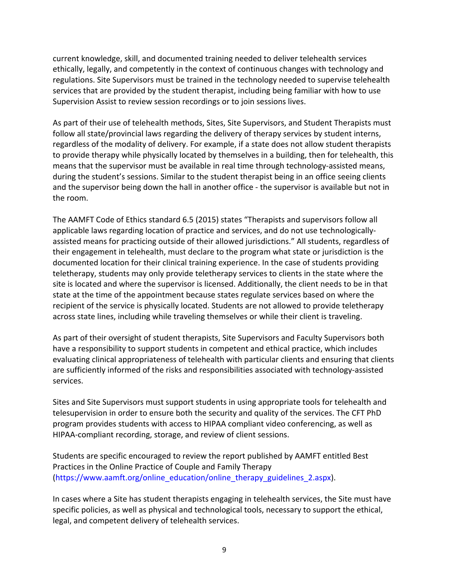current knowledge, skill, and documented training needed to deliver telehealth services ethically, legally, and competently in the context of continuous changes with technology and regulations. Site Supervisors must be trained in the technology needed to supervise telehealth services that are provided by the student therapist, including being familiar with how to use Supervision Assist to review session recordings or to join sessions lives.

As part of their use of telehealth methods, Sites, Site Supervisors, and Student Therapists must follow all state/provincial laws regarding the delivery of therapy services by student interns, regardless of the modality of delivery. For example, if a state does not allow student therapists to provide therapy while physically located by themselves in a building, then for telehealth, this means that the supervisor must be available in real time through technology-assisted means, during the student's sessions. Similar to the student therapist being in an office seeing clients and the supervisor being down the hall in another office - the supervisor is available but not in the room.

The AAMFT Code of Ethics standard 6.5 (2015) states "Therapists and supervisors follow all applicable laws regarding location of practice and services, and do not use technologicallyassisted means for practicing outside of their allowed jurisdictions." All students, regardless of their engagement in telehealth, must declare to the program what state or jurisdiction is the documented location for their clinical training experience. In the case of students providing teletherapy, students may only provide teletherapy services to clients in the state where the site is located and where the supervisor is licensed. Additionally, the client needs to be in that state at the time of the appointment because states regulate services based on where the recipient of the service is physically located. Students are not allowed to provide teletherapy across state lines, including while traveling themselves or while their client is traveling.

As part of their oversight of student therapists, Site Supervisors and Faculty Supervisors both have a responsibility to support students in competent and ethical practice, which includes evaluating clinical appropriateness of telehealth with particular clients and ensuring that clients are sufficiently informed of the risks and responsibilities associated with technology-assisted services.

Sites and Site Supervisors must support students in using appropriate tools for telehealth and telesupervision in order to ensure both the security and quality of the services. The CFT PhD program provides students with access to HIPAA compliant video conferencing, as well as HIPAA-compliant recording, storage, and review of client sessions.

Students are specific encouraged to review the report published by AAMFT entitled Best Practices in the Online Practice of Couple and Family Therapy (https://www.aamft.org/online\_education/online\_therapy\_guidelines\_2.aspx).

In cases where a Site has student therapists engaging in telehealth services, the Site must have specific policies, as well as physical and technological tools, necessary to support the ethical, legal, and competent delivery of telehealth services.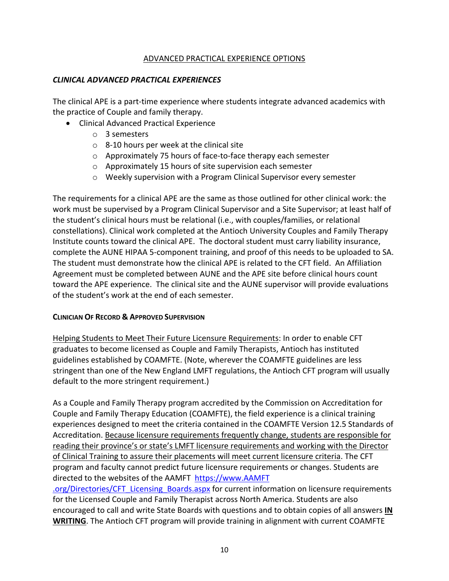#### ADVANCED PRACTICAL EXPERIENCE OPTIONS

#### *CLINICAL ADVANCED PRACTICAL EXPERIENCES*

The clinical APE is a part-time experience where students integrate advanced academics with the practice of Couple and family therapy.

- Clinical Advanced Practical Experience
	- o 3 semesters
	- o 8-10 hours per week at the clinical site
	- o Approximately 75 hours of face-to-face therapy each semester
	- o Approximately 15 hours of site supervision each semester
	- o Weekly supervision with a Program Clinical Supervisor every semester

The requirements for a clinical APE are the same as those outlined for other clinical work: the work must be supervised by a Program Clinical Supervisor and a Site Supervisor; at least half of the student's clinical hours must be relational (i.e., with couples/families, or relational constellations). Clinical work completed at the Antioch University Couples and Family Therapy Institute counts toward the clinical APE. The doctoral student must carry liability insurance, complete the AUNE HIPAA 5-component training, and proof of this needs to be uploaded to SA. The student must demonstrate how the clinical APE is related to the CFT field. An Affiliation Agreement must be completed between AUNE and the APE site before clinical hours count toward the APE experience. The clinical site and the AUNE supervisor will provide evaluations of the student's work at the end of each semester.

#### **CLINICIAN OF RECORD & APPROVED SUPERVISION**

Helping Students to Meet Their Future Licensure Requirements: In order to enable CFT graduates to become licensed as Couple and Family Therapists, Antioch has instituted guidelines established by COAMFTE. (Note, wherever the COAMFTE guidelines are less stringent than one of the New England LMFT regulations, the Antioch CFT program will usually default to the more stringent requirement.)

As a Couple and Family Therapy program accredited by the Commission on Accreditation for Couple and Family Therapy Education (COAMFTE), the field experience is a clinical training experiences designed to meet the criteria contained in the COAMFTE Version 12.5 Standards of Accreditation. Because licensure requirements frequently change, students are responsible for reading their province's or state's LMFT licensure requirements and working with the Director of Clinical Training to assure their placements will meet current licensure criteria. The CFT program and faculty cannot predict future licensure requirements or changes. Students are directed to the websites of the AAMFT https://www.AAMFT

.org/Directories/CFT\_Licensing\_Boards.aspx for current information on licensure requirements for the Licensed Couple and Family Therapist across North America. Students are also encouraged to call and write State Boards with questions and to obtain copies of all answers **IN WRITING**. The Antioch CFT program will provide training in alignment with current COAMFTE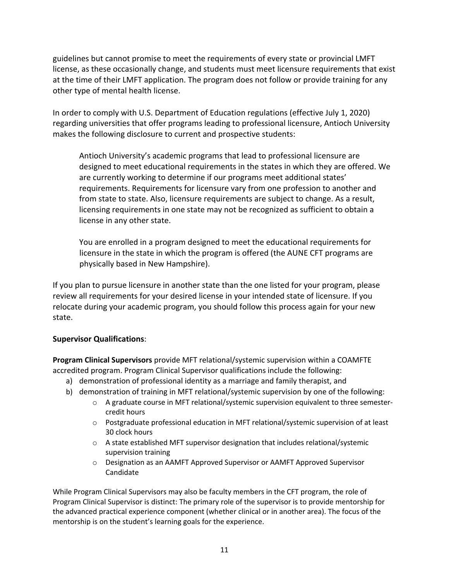guidelines but cannot promise to meet the requirements of every state or provincial LMFT license, as these occasionally change, and students must meet licensure requirements that exist at the time of their LMFT application. The program does not follow or provide training for any other type of mental health license.

In order to comply with U.S. Department of Education regulations (effective July 1, 2020) regarding universities that offer programs leading to professional licensure, Antioch University makes the following disclosure to current and prospective students:

Antioch University's academic programs that lead to professional licensure are designed to meet educational requirements in the states in which they are offered. We are currently working to determine if our programs meet additional states' requirements. Requirements for licensure vary from one profession to another and from state to state. Also, licensure requirements are subject to change. As a result, licensing requirements in one state may not be recognized as sufficient to obtain a license in any other state.

You are enrolled in a program designed to meet the educational requirements for licensure in the state in which the program is offered (the AUNE CFT programs are physically based in New Hampshire).

If you plan to pursue licensure in another state than the one listed for your program, please review all requirements for your desired license in your intended state of licensure. If you relocate during your academic program, you should follow this process again for your new state.

## **Supervisor Qualifications**:

**Program Clinical Supervisors** provide MFT relational/systemic supervision within a COAMFTE accredited program. Program Clinical Supervisor qualifications include the following:

- a) demonstration of professional identity as a marriage and family therapist, and
- b) demonstration of training in MFT relational/systemic supervision by one of the following:
	- o A graduate course in MFT relational/systemic supervision equivalent to three semestercredit hours
	- o Postgraduate professional education in MFT relational/systemic supervision of at least 30 clock hours
	- $\circ$  A state established MFT supervisor designation that includes relational/systemic supervision training
	- o Designation as an AAMFT Approved Supervisor or AAMFT Approved Supervisor Candidate

While Program Clinical Supervisors may also be faculty members in the CFT program, the role of Program Clinical Supervisor is distinct: The primary role of the supervisor is to provide mentorship for the advanced practical experience component (whether clinical or in another area). The focus of the mentorship is on the student's learning goals for the experience.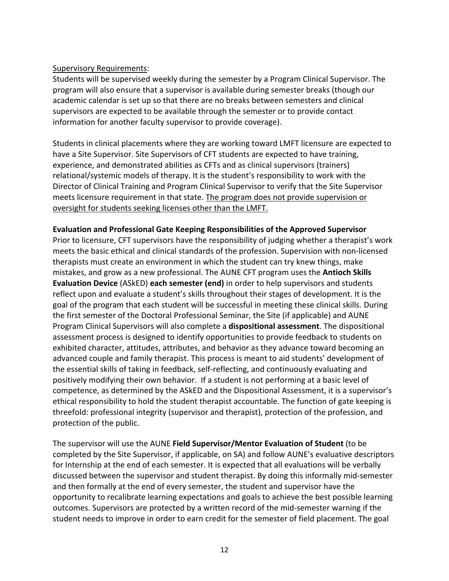#### Supervisory Requirements:

Students will be supervised weekly during the semester by a Program Clinical Supervisor. The program will also ensure that a supervisor is available during semester breaks (though our academic calendar is set up so that there are no breaks between semesters and clinical supervisors are expected to be available through the semester or to provide contact information for another faculty supervisor to provide coverage).

Students in clinical placements where they are working toward LMFT licensure are expected to have a Site Supervisor. Site Supervisors of CFT students are expected to have training, experience, and demonstrated abilities as CFTs and as clinical supervisors (trainers) relational/systemic models of therapy. It is the student's responsibility to work with the Director of Clinical Training and Program Clinical Supervisor to verify that the Site Supervisor meets licensure requirement in that state. The program does not provide supervision or oversight for students seeking licenses other than the LMFT.

#### **Evaluation and Professional Gate Keeping Responsibilities of the Approved Supervisor**

Prior to licensure, CFT supervisors have the responsibility of judging whether a therapist's work meets the basic ethical and clinical standards of the profession. Supervision with non-licensed therapists must create an environment in which the student can try knew things, make mistakes, and grow as a new professional. The AUNE CFT program uses the **Antioch Skills Evaluation Device** (ASkED) **each semester (end)** in order to help supervisors and students reflect upon and evaluate a student's skills throughout their stages of development. It is the goal of the program that each student will be successful in meeting these clinical skills. During the first semester of the Doctoral Professional Seminar, the Site (if applicable) and AUNE Program Clinical Supervisors will also complete a **dispositional assessment**. The dispositional assessment process is designed to identify opportunities to provide feedback to students on exhibited character, attitudes, attributes, and behavior as they advance toward becoming an advanced couple and family therapist. This process is meant to aid students' development of the essential skills of taking in feedback, self-reflecting, and continuously evaluating and positively modifying their own behavior. If a student is not performing at a basic level of competence, as determined by the ASkED and the Dispositional Assessment, it is a supervisor's ethical responsibility to hold the student therapist accountable. The function of gate keeping is threefold: professional integrity (supervisor and therapist), protection of the profession, and protection of the public.

The supervisor will use the AUNE **Field Supervisor/Mentor Evaluation of Student** (to be completed by the Site Supervisor, if applicable, on SA) and follow AUNE's evaluative descriptors for Internship at the end of each semester. It is expected that all evaluations will be verbally discussed between the supervisor and student therapist. By doing this informally mid-semester and then formally at the end of every semester, the student and supervisor have the opportunity to recalibrate learning expectations and goals to achieve the best possible learning outcomes. Supervisors are protected by a written record of the mid-semester warning if the student needs to improve in order to earn credit for the semester of field placement. The goal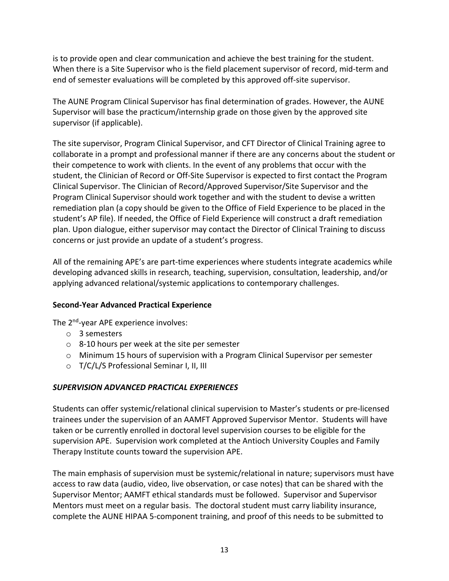is to provide open and clear communication and achieve the best training for the student. When there is a Site Supervisor who is the field placement supervisor of record, mid-term and end of semester evaluations will be completed by this approved off-site supervisor.

The AUNE Program Clinical Supervisor has final determination of grades. However, the AUNE Supervisor will base the practicum/internship grade on those given by the approved site supervisor (if applicable).

The site supervisor, Program Clinical Supervisor, and CFT Director of Clinical Training agree to collaborate in a prompt and professional manner if there are any concerns about the student or their competence to work with clients. In the event of any problems that occur with the student, the Clinician of Record or Off-Site Supervisor is expected to first contact the Program Clinical Supervisor. The Clinician of Record/Approved Supervisor/Site Supervisor and the Program Clinical Supervisor should work together and with the student to devise a written remediation plan (a copy should be given to the Office of Field Experience to be placed in the student's AP file). If needed, the Office of Field Experience will construct a draft remediation plan. Upon dialogue, either supervisor may contact the Director of Clinical Training to discuss concerns or just provide an update of a student's progress.

All of the remaining APE's are part-time experiences where students integrate academics while developing advanced skills in research, teaching, supervision, consultation, leadership, and/or applying advanced relational/systemic applications to contemporary challenges.

## **Second-Year Advanced Practical Experience**

The 2<sup>nd</sup>-year APE experience involves:

- o 3 semesters
- o 8-10 hours per week at the site per semester
- $\circ$  Minimum 15 hours of supervision with a Program Clinical Supervisor per semester
- o T/C/L/S Professional Seminar I, II, III

## *SUPERVISION ADVANCED PRACTICAL EXPERIENCES*

Students can offer systemic/relational clinical supervision to Master's students or pre-licensed trainees under the supervision of an AAMFT Approved Supervisor Mentor. Students will have taken or be currently enrolled in doctoral level supervision courses to be eligible for the supervision APE. Supervision work completed at the Antioch University Couples and Family Therapy Institute counts toward the supervision APE.

The main emphasis of supervision must be systemic/relational in nature; supervisors must have access to raw data (audio, video, live observation, or case notes) that can be shared with the Supervisor Mentor; AAMFT ethical standards must be followed. Supervisor and Supervisor Mentors must meet on a regular basis. The doctoral student must carry liability insurance, complete the AUNE HIPAA 5-component training, and proof of this needs to be submitted to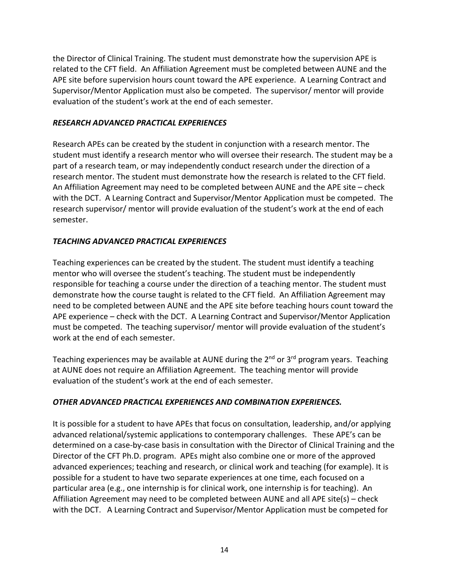the Director of Clinical Training. The student must demonstrate how the supervision APE is related to the CFT field. An Affiliation Agreement must be completed between AUNE and the APE site before supervision hours count toward the APE experience. A Learning Contract and Supervisor/Mentor Application must also be competed. The supervisor/ mentor will provide evaluation of the student's work at the end of each semester.

#### *RESEARCH ADVANCED PRACTICAL EXPERIENCES*

Research APEs can be created by the student in conjunction with a research mentor. The student must identify a research mentor who will oversee their research. The student may be a part of a research team, or may independently conduct research under the direction of a research mentor. The student must demonstrate how the research is related to the CFT field. An Affiliation Agreement may need to be completed between AUNE and the APE site – check with the DCT. A Learning Contract and Supervisor/Mentor Application must be competed. The research supervisor/ mentor will provide evaluation of the student's work at the end of each semester.

#### *TEACHING ADVANCED PRACTICAL EXPERIENCES*

Teaching experiences can be created by the student. The student must identify a teaching mentor who will oversee the student's teaching. The student must be independently responsible for teaching a course under the direction of a teaching mentor. The student must demonstrate how the course taught is related to the CFT field. An Affiliation Agreement may need to be completed between AUNE and the APE site before teaching hours count toward the APE experience – check with the DCT. A Learning Contract and Supervisor/Mentor Application must be competed. The teaching supervisor/ mentor will provide evaluation of the student's work at the end of each semester.

Teaching experiences may be available at AUNE during the 2<sup>nd</sup> or 3<sup>rd</sup> program years. Teaching at AUNE does not require an Affiliation Agreement. The teaching mentor will provide evaluation of the student's work at the end of each semester.

## *OTHER ADVANCED PRACTICAL EXPERIENCES AND COMBINATION EXPERIENCES.*

It is possible for a student to have APEs that focus on consultation, leadership, and/or applying advanced relational/systemic applications to contemporary challenges. These APE's can be determined on a case-by-case basis in consultation with the Director of Clinical Training and the Director of the CFT Ph.D. program. APEs might also combine one or more of the approved advanced experiences; teaching and research, or clinical work and teaching (for example). It is possible for a student to have two separate experiences at one time, each focused on a particular area (e.g., one internship is for clinical work, one internship is for teaching). An Affiliation Agreement may need to be completed between AUNE and all APE site(s) – check with the DCT. A Learning Contract and Supervisor/Mentor Application must be competed for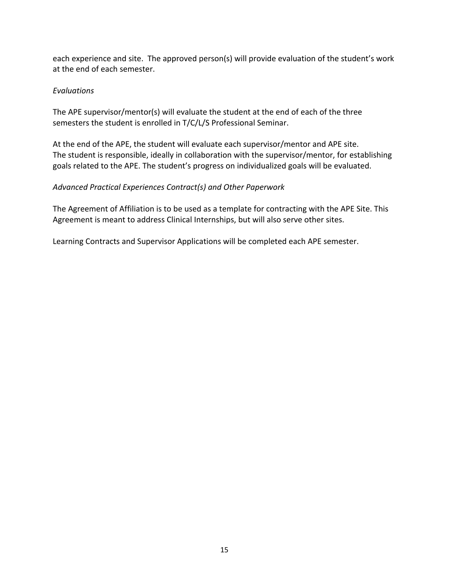each experience and site. The approved person(s) will provide evaluation of the student's work at the end of each semester.

# *Evaluations*

The APE supervisor/mentor(s) will evaluate the student at the end of each of the three semesters the student is enrolled in T/C/L/S Professional Seminar.

At the end of the APE, the student will evaluate each supervisor/mentor and APE site. The student is responsible, ideally in collaboration with the supervisor/mentor, for establishing goals related to the APE. The student's progress on individualized goals will be evaluated.

# *Advanced Practical Experiences Contract(s) and Other Paperwork*

The Agreement of Affiliation is to be used as a template for contracting with the APE Site. This Agreement is meant to address Clinical Internships, but will also serve other sites.

Learning Contracts and Supervisor Applications will be completed each APE semester.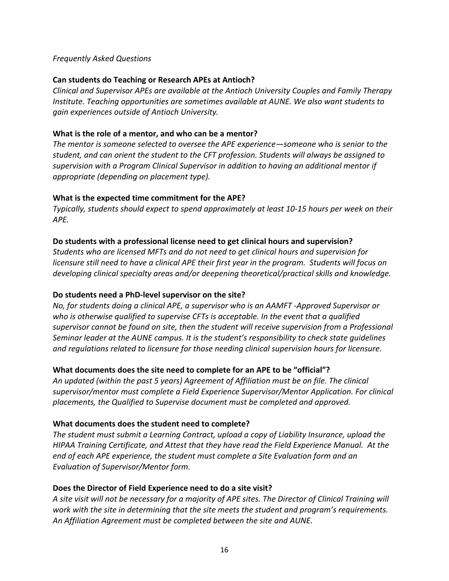#### *Frequently Asked Questions*

#### **Can students do Teaching or Research APEs at Antioch?**

*Clinical and Supervisor APEs are available at the Antioch University Couples and Family Therapy Institute. Teaching opportunities are sometimes available at AUNE. We also want students to gain experiences outside of Antioch University.*

#### **What is the role of a mentor, and who can be a mentor?**

*The mentor is someone selected to oversee the APE experience—someone who is senior to the student, and can orient the student to the CFT profession. Students will always be assigned to supervision with a Program Clinical Supervisor in addition to having an additional mentor if appropriate (depending on placement type).*

#### **What is the expected time commitment for the APE?**

*Typically, students should expect to spend approximately at least 10-15 hours per week on their APE.*

#### **Do students with a professional license need to get clinical hours and supervision?**

*Students who are licensed MFTs and do not need to get clinical hours and supervision for licensure still need to have a clinical APE their first year in the program. Students will focus on developing clinical specialty areas and/or deepening theoretical/practical skills and knowledge.*

#### **Do students need a PhD-level supervisor on the site?**

*No, for students doing a clinical APE, a supervisor who is an AAMFT -Approved Supervisor or who is otherwise qualified to supervise CFTs is acceptable. In the event that a qualified supervisor cannot be found on site, then the student will receive supervision from a Professional Seminar leader at the AUNE campus. It is the student's responsibility to check state guidelines and regulations related to licensure for those needing clinical supervision hours for licensure.* 

## **What documents does the site need to complete for an APE to be "official"?**

*An updated (within the past 5 years) Agreement of Affiliation must be on file. The clinical supervisor/mentor must complete a Field Experience Supervisor/Mentor Application. For clinical placements, the Qualified to Supervise document must be completed and approved.*

## **What documents does the student need to complete?**

*The student must submit a Learning Contract, upload a copy of Liability Insurance, upload the HIPAA Training Certificate, and Attest that they have read the Field Experience Manual. At the end of each APE experience, the student must complete a Site Evaluation form and an Evaluation of Supervisor/Mentor form.*

## **Does the Director of Field Experience need to do a site visit?**

*A site visit will not be necessary for a majority of APE sites. The Director of Clinical Training will work with the site in determining that the site meets the student and program's requirements. An Affiliation Agreement must be completed between the site and AUNE.*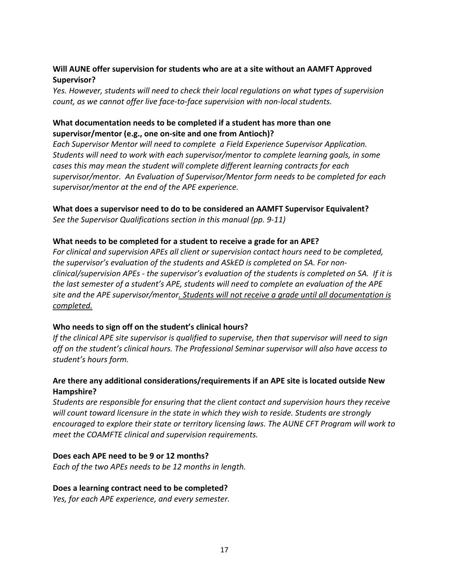## **Will AUNE offer supervision for students who are at a site without an AAMFT Approved Supervisor?**

*Yes. However, students will need to check their local regulations on what types of supervision count, as we cannot offer live face-to-face supervision with non-local students.*

# **What documentation needs to be completed if a student has more than one supervisor/mentor (e.g., one on-site and one from Antioch)?**

*Each Supervisor Mentor will need to complete a Field Experience Supervisor Application. Students will need to work with each supervisor/mentor to complete learning goals, in some cases this may mean the student will complete different learning contracts for each supervisor/mentor. An Evaluation of Supervisor/Mentor form needs to be completed for each supervisor/mentor at the end of the APE experience.*

**What does a supervisor need to do to be considered an AAMFT Supervisor Equivalent?**

*See the Supervisor Qualifications section in this manual (pp. 9-11)*

## **What needs to be completed for a student to receive a grade for an APE?**

*For clinical and supervision APEs all client or supervision contact hours need to be completed, the supervisor's evaluation of the students and ASkED is completed on SA. For nonclinical/supervision APEs - the supervisor's evaluation of the students is completed on SA. If it is the last semester of a student's APE, students will need to complete an evaluation of the APE site and the APE supervisor/mentor. Students will not receive a grade until all documentation is completed.*

## **Who needs to sign off on the student's clinical hours?**

*If the clinical APE site supervisor is qualified to supervise, then that supervisor will need to sign off on the student's clinical hours. The Professional Seminar supervisor will also have access to student's hours form.*

# **Are there any additional considerations/requirements if an APE site is located outside New Hampshire?**

*Students are responsible for ensuring that the client contact and supervision hours they receive will count toward licensure in the state in which they wish to reside. Students are strongly encouraged to explore their state or territory licensing laws. The AUNE CFT Program will work to meet the COAMFTE clinical and supervision requirements.*

## **Does each APE need to be 9 or 12 months?**

*Each of the two APEs needs to be 12 months in length.*

#### **Does a learning contract need to be completed?**

*Yes, for each APE experience, and every semester.*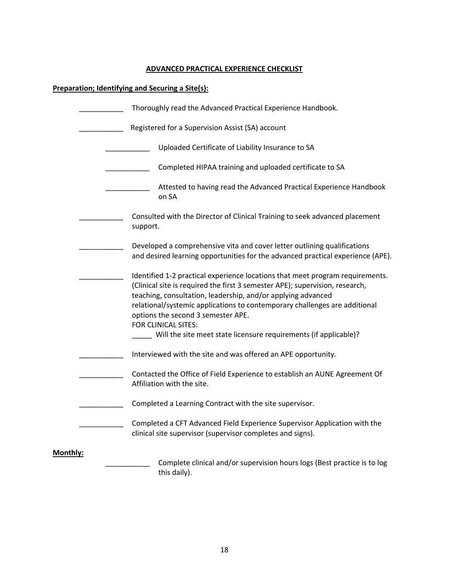#### **ADVANCED PRACTICAL EXPERIENCE CHECKLIST**

# **Preparation; Identifying and Securing a Site(s):**

|          | Thoroughly read the Advanced Practical Experience Handbook.                                                                                                                                                                                                                                                                                                              |
|----------|--------------------------------------------------------------------------------------------------------------------------------------------------------------------------------------------------------------------------------------------------------------------------------------------------------------------------------------------------------------------------|
|          | Registered for a Supervision Assist (SA) account                                                                                                                                                                                                                                                                                                                         |
|          | Uploaded Certificate of Liability Insurance to SA                                                                                                                                                                                                                                                                                                                        |
|          | Completed HIPAA training and uploaded certificate to SA                                                                                                                                                                                                                                                                                                                  |
|          | Attested to having read the Advanced Practical Experience Handbook<br>on SA                                                                                                                                                                                                                                                                                              |
|          | Consulted with the Director of Clinical Training to seek advanced placement<br>support.                                                                                                                                                                                                                                                                                  |
|          | Developed a comprehensive vita and cover letter outlining qualifications<br>and desired learning opportunities for the advanced practical experience (APE).                                                                                                                                                                                                              |
|          | Identified 1-2 practical experience locations that meet program requirements.<br>(Clinical site is required the first 3 semester APE); supervision, research,<br>teaching, consultation, leadership, and/or applying advanced<br>relational/systemic applications to contemporary challenges are additional<br>options the second 3 semester APE.<br>FOR CLINICAL SITES: |
|          | ____ Will the site meet state licensure requirements (if applicable)?                                                                                                                                                                                                                                                                                                    |
|          | Interviewed with the site and was offered an APE opportunity.                                                                                                                                                                                                                                                                                                            |
|          | Contacted the Office of Field Experience to establish an AUNE Agreement Of<br>Affiliation with the site.                                                                                                                                                                                                                                                                 |
|          | Completed a Learning Contract with the site supervisor.                                                                                                                                                                                                                                                                                                                  |
|          | Completed a CFT Advanced Field Experience Supervisor Application with the<br>clinical site supervisor (supervisor completes and signs).                                                                                                                                                                                                                                  |
| Monthly: | Complete clinical and/or supervision hours logs (Best practice is to log<br>this daily).                                                                                                                                                                                                                                                                                 |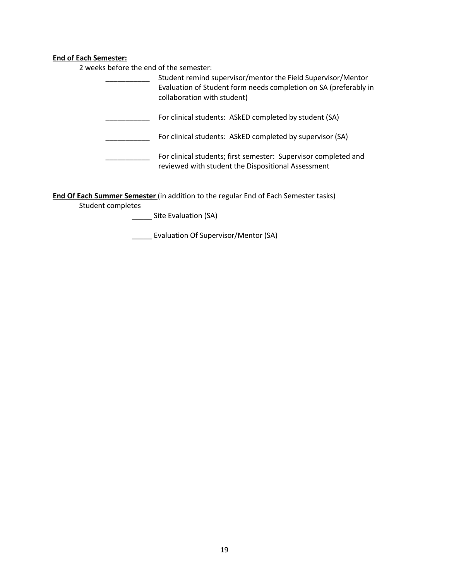#### **End of Each Semester:**

2 weeks before the end of the semester:

| Student remind supervisor/mentor the Field Supervisor/Mentor<br>Evaluation of Student form needs completion on SA (preferably in<br>collaboration with student) |
|-----------------------------------------------------------------------------------------------------------------------------------------------------------------|
| For clinical students: ASkED completed by student (SA)                                                                                                          |
| For clinical students: ASkED completed by supervisor (SA)                                                                                                       |
| For clinical students; first semester: Supervisor completed and<br>reviewed with student the Dispositional Assessment                                           |

**End Of Each Summer Semester** (in addition to the regular End of Each Semester tasks)

Student completes

\_\_\_\_\_ Site Evaluation (SA)

\_\_\_\_\_ Evaluation Of Supervisor/Mentor (SA)